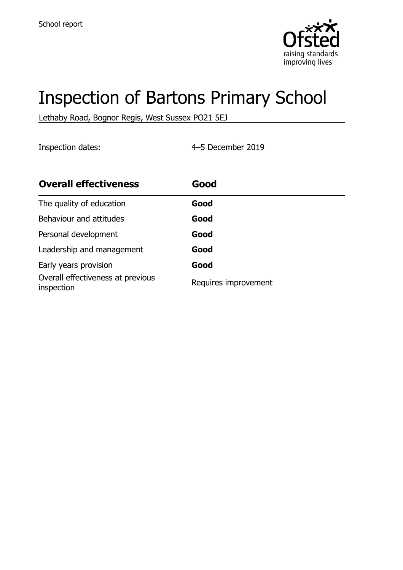

# Inspection of Bartons Primary School

Lethaby Road, Bognor Regis, West Sussex PO21 5EJ

Inspection dates: 4–5 December 2019

| <b>Overall effectiveness</b>                    | Good                 |
|-------------------------------------------------|----------------------|
| The quality of education                        | Good                 |
| Behaviour and attitudes                         | Good                 |
| Personal development                            | Good                 |
| Leadership and management                       | Good                 |
| Early years provision                           | Good                 |
| Overall effectiveness at previous<br>inspection | Requires improvement |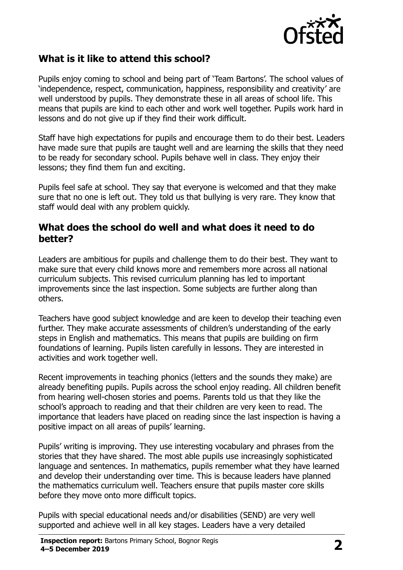

## **What is it like to attend this school?**

Pupils enjoy coming to school and being part of 'Team Bartons'. The school values of 'independence, respect, communication, happiness, responsibility and creativity' are well understood by pupils. They demonstrate these in all areas of school life. This means that pupils are kind to each other and work well together. Pupils work hard in lessons and do not give up if they find their work difficult.

Staff have high expectations for pupils and encourage them to do their best. Leaders have made sure that pupils are taught well and are learning the skills that they need to be ready for secondary school. Pupils behave well in class. They enjoy their lessons; they find them fun and exciting.

Pupils feel safe at school. They say that everyone is welcomed and that they make sure that no one is left out. They told us that bullying is very rare. They know that staff would deal with any problem quickly.

#### **What does the school do well and what does it need to do better?**

Leaders are ambitious for pupils and challenge them to do their best. They want to make sure that every child knows more and remembers more across all national curriculum subjects. This revised curriculum planning has led to important improvements since the last inspection. Some subjects are further along than others.

Teachers have good subject knowledge and are keen to develop their teaching even further. They make accurate assessments of children's understanding of the early steps in English and mathematics. This means that pupils are building on firm foundations of learning. Pupils listen carefully in lessons. They are interested in activities and work together well.

Recent improvements in teaching phonics (letters and the sounds they make) are already benefiting pupils. Pupils across the school enjoy reading. All children benefit from hearing well-chosen stories and poems. Parents told us that they like the school's approach to reading and that their children are very keen to read. The importance that leaders have placed on reading since the last inspection is having a positive impact on all areas of pupils' learning.

Pupils' writing is improving. They use interesting vocabulary and phrases from the stories that they have shared. The most able pupils use increasingly sophisticated language and sentences. In mathematics, pupils remember what they have learned and develop their understanding over time. This is because leaders have planned the mathematics curriculum well. Teachers ensure that pupils master core skills before they move onto more difficult topics.

Pupils with special educational needs and/or disabilities (SEND) are very well supported and achieve well in all key stages. Leaders have a very detailed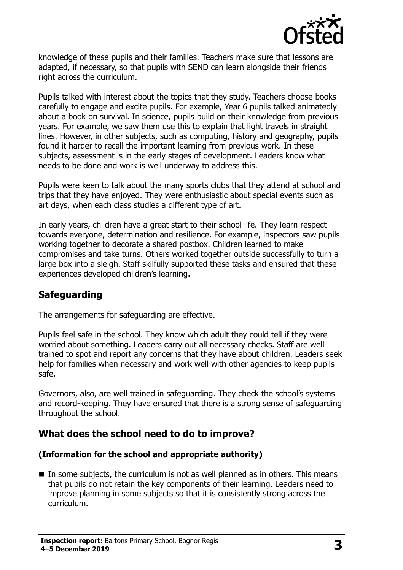

knowledge of these pupils and their families. Teachers make sure that lessons are adapted, if necessary, so that pupils with SEND can learn alongside their friends right across the curriculum.

Pupils talked with interest about the topics that they study. Teachers choose books carefully to engage and excite pupils. For example, Year 6 pupils talked animatedly about a book on survival. In science, pupils build on their knowledge from previous years. For example, we saw them use this to explain that light travels in straight lines. However, in other subjects, such as computing, history and geography, pupils found it harder to recall the important learning from previous work. In these subjects, assessment is in the early stages of development. Leaders know what needs to be done and work is well underway to address this.

Pupils were keen to talk about the many sports clubs that they attend at school and trips that they have enjoyed. They were enthusiastic about special events such as art days, when each class studies a different type of art.

In early years, children have a great start to their school life. They learn respect towards everyone, determination and resilience. For example, inspectors saw pupils working together to decorate a shared postbox. Children learned to make compromises and take turns. Others worked together outside successfully to turn a large box into a sleigh. Staff skilfully supported these tasks and ensured that these experiences developed children's learning.

### **Safeguarding**

The arrangements for safeguarding are effective.

Pupils feel safe in the school. They know which adult they could tell if they were worried about something. Leaders carry out all necessary checks. Staff are well trained to spot and report any concerns that they have about children. Leaders seek help for families when necessary and work well with other agencies to keep pupils safe.

Governors, also, are well trained in safeguarding. They check the school's systems and record-keeping. They have ensured that there is a strong sense of safeguarding throughout the school.

### **What does the school need to do to improve?**

#### **(Information for the school and appropriate authority)**

■ In some subjects, the curriculum is not as well planned as in others. This means that pupils do not retain the key components of their learning. Leaders need to improve planning in some subjects so that it is consistently strong across the curriculum.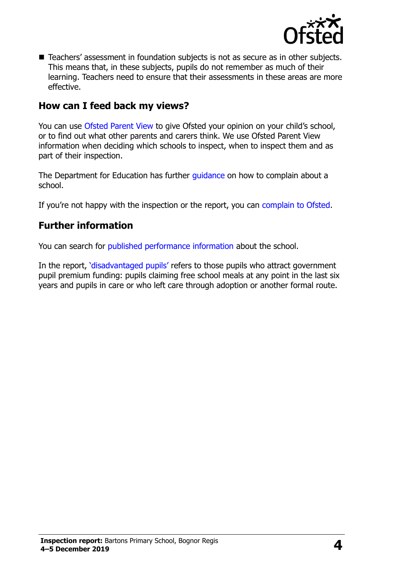

■ Teachers' assessment in foundation subjects is not as secure as in other subjects. This means that, in these subjects, pupils do not remember as much of their learning. Teachers need to ensure that their assessments in these areas are more effective.

#### **How can I feed back my views?**

You can use [Ofsted Parent View](http://parentview.ofsted.gov.uk/) to give Ofsted your opinion on your child's school, or to find out what other parents and carers think. We use Ofsted Parent View information when deciding which schools to inspect, when to inspect them and as part of their inspection.

The Department for Education has further [guidance](http://www.gov.uk/complain-about-school) on how to complain about a school.

If you're not happy with the inspection or the report, you can [complain to Ofsted.](http://www.gov.uk/complain-ofsted-report)

#### **Further information**

You can search for [published performance information](http://www.compare-school-performance.service.gov.uk/) about the school.

In the report, '[disadvantaged pupils](http://www.gov.uk/guidance/pupil-premium-information-for-schools-and-alternative-provision-settings)' refers to those pupils who attract government pupil premium funding: pupils claiming free school meals at any point in the last six years and pupils in care or who left care through adoption or another formal route.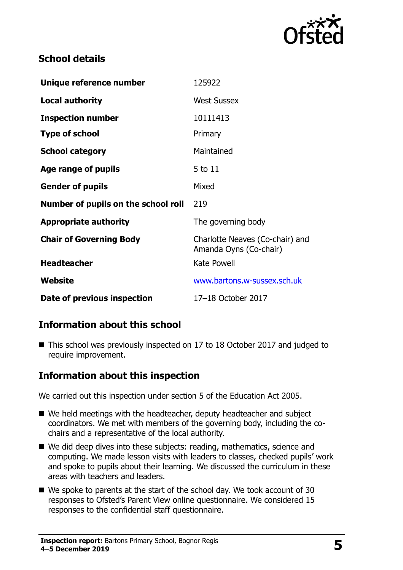

## **School details**

| Unique reference number             | 125922                                                    |
|-------------------------------------|-----------------------------------------------------------|
| <b>Local authority</b>              | <b>West Sussex</b>                                        |
| <b>Inspection number</b>            | 10111413                                                  |
| <b>Type of school</b>               | Primary                                                   |
| <b>School category</b>              | Maintained                                                |
| Age range of pupils                 | 5 to 11                                                   |
| <b>Gender of pupils</b>             | Mixed                                                     |
| Number of pupils on the school roll | 219                                                       |
| <b>Appropriate authority</b>        | The governing body                                        |
| <b>Chair of Governing Body</b>      | Charlotte Neaves (Co-chair) and<br>Amanda Oyns (Co-chair) |
| <b>Headteacher</b>                  | <b>Kate Powell</b>                                        |
| Website                             | www.bartons.w-sussex.sch.uk                               |
| Date of previous inspection         | 17-18 October 2017                                        |

## **Information about this school**

■ This school was previously inspected on 17 to 18 October 2017 and judged to require improvement.

### **Information about this inspection**

We carried out this inspection under section 5 of the Education Act 2005.

- We held meetings with the headteacher, deputy headteacher and subject coordinators. We met with members of the governing body, including the cochairs and a representative of the local authority.
- We did deep dives into these subjects: reading, mathematics, science and computing. We made lesson visits with leaders to classes, checked pupils' work and spoke to pupils about their learning. We discussed the curriculum in these areas with teachers and leaders.
- We spoke to parents at the start of the school day. We took account of 30 responses to Ofsted's Parent View online questionnaire. We considered 15 responses to the confidential staff questionnaire.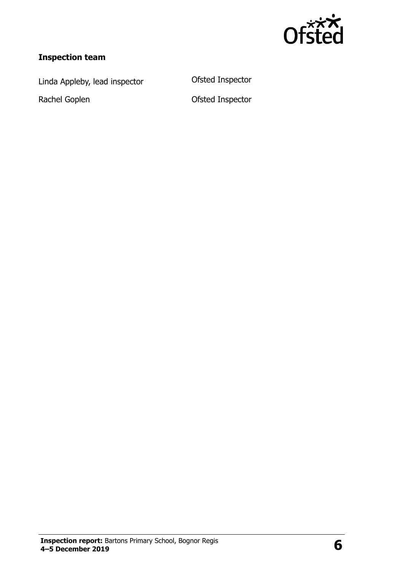

## **Inspection team**

Linda Appleby, lead inspector Ofsted Inspector

Rachel Goplen **Calculate Communist Communist Communist Communist Communist Communist Communist Communist Communist Communist Communist Communist Communist Communist Communist Communist Communist Communist Communist Communi**